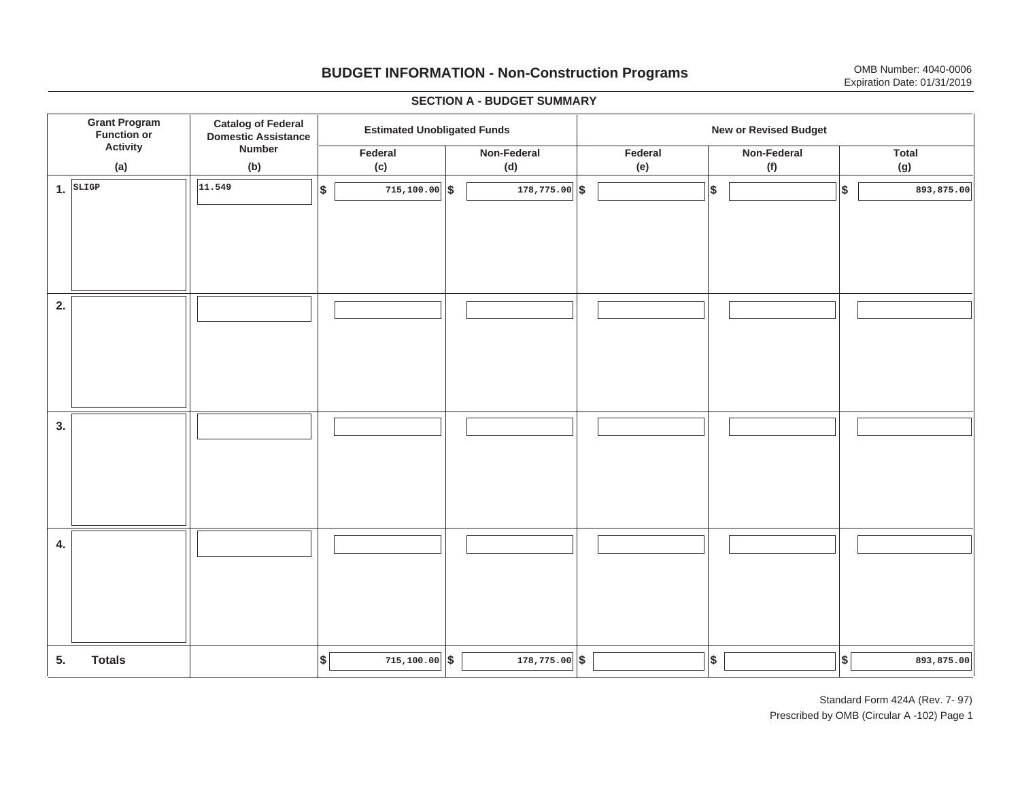## **BUDGET INFORMATION - Non-Construction Programs** OMB Number: 4040-0006 **Expiration Date: 01/31/2019**

**\$ Grant Program Function or Activity (a) Catalog of Federal Domestic Assistance Number (b) Estimated Unobligated Funds New or Revised Budget Federal (c) Non-Federal(d) Federal(e) Non-Federal (f) Total(g) 5. Totals4. 3. 2. 1.SLIGP**. SLIGP || |<sup>11.549</sup> | |\$ | 715,100.00||\$ | 178,775.00||\$ | |\$ | ||\$ **\$ \$ \$ \$ 11.549 715,100.00 178,775.00 893,875.00**  $\frac{1}{3}$  **715,100.00**  $\frac{1}{3}$  **79,775.00**  $\frac{1}{3}$  **178,775.00**  $\frac{1}{3}$ I I I I I I I I I I I I I I I I I I I I I I I I I I I I I I I I I I I I I I I I I I I I 715,100.00  $\|\$$  178,775.00  $\|\$$   $\|$ 

#### **SECTION A - BUDGET SUMMARY**

Standard Form 424A (Rev. 7- 97) Prescribed by OMB (Circular A -102) Page 1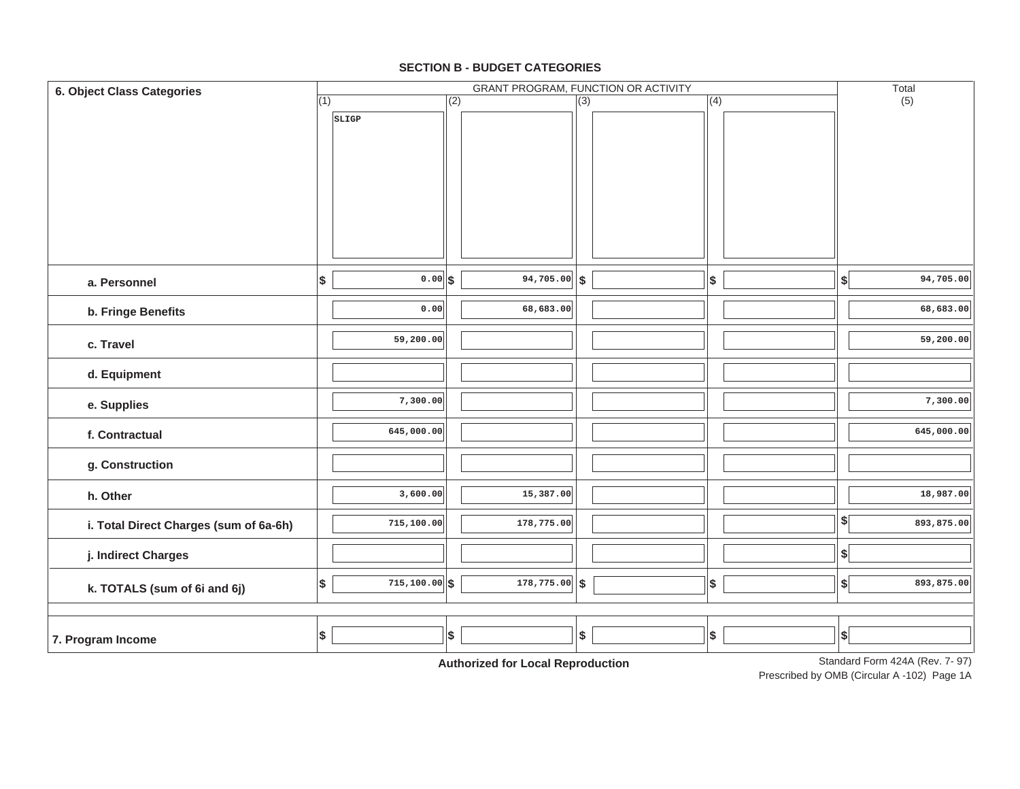#### **SECTION B - BUDGET CATEGORIES**

| 6. Object Class Categories             |     | GRANT PROGRAM, FUNCTION OR ACTIVITY |     |                                                           | Total            |                           |                           |                                |
|----------------------------------------|-----|-------------------------------------|-----|-----------------------------------------------------------|------------------|---------------------------|---------------------------|--------------------------------|
|                                        | (1) |                                     | (2) |                                                           | $\overline{(3)}$ | (4)                       |                           | (5)                            |
|                                        |     | SLIGP                               |     |                                                           |                  |                           |                           |                                |
|                                        |     |                                     |     |                                                           |                  |                           |                           |                                |
| a. Personnel                           | \$  | $0.00$ \$                           |     | $\overline{94,705.00}$ \$                                 |                  | \$                        | $\boldsymbol{\mathsf{s}}$ | 94,705.00                      |
| b. Fringe Benefits                     |     | 0.00                                |     | 68,683.00                                                 |                  |                           |                           | 68,683.00                      |
| c. Travel                              |     | 59,200.00                           |     |                                                           |                  |                           |                           | 59,200.00                      |
| d. Equipment                           |     |                                     |     |                                                           |                  |                           |                           |                                |
| e. Supplies                            |     | 7,300.00                            |     |                                                           |                  |                           |                           | 7,300.00                       |
| f. Contractual                         |     | 645,000.00                          |     |                                                           |                  |                           |                           | 645,000.00                     |
| g. Construction                        |     |                                     |     |                                                           |                  |                           |                           |                                |
| h. Other                               |     | 3,600.00                            |     | 15,387.00                                                 |                  |                           |                           | 18,987.00                      |
| i. Total Direct Charges (sum of 6a-6h) |     | 715,100.00                          |     | 178,775.00                                                |                  |                           | $\frac{1}{2}$             | 893,875.00                     |
| j. Indirect Charges                    |     |                                     |     |                                                           |                  |                           | \$                        |                                |
| k. TOTALS (sum of 6i and 6j)           | \$  | $715,100.00$ \$                     |     | $178, 775.00$ \$                                          |                  | $\boldsymbol{\mathsf{s}}$ | $\boldsymbol{\mathsf{s}}$ | 893,875.00                     |
| 7. Program Income                      | \$  |                                     | \$  | And the set of seat from the seat The second continuation | \$               | \$                        | $\vert$ \$                | Standard Form 4244 (Rev. 7-97) |

**Authorized for Local Reproduction**

Prescribed by OMB (Circular A -102) Page 1A Standard Form 424A (Rev. 7- 97)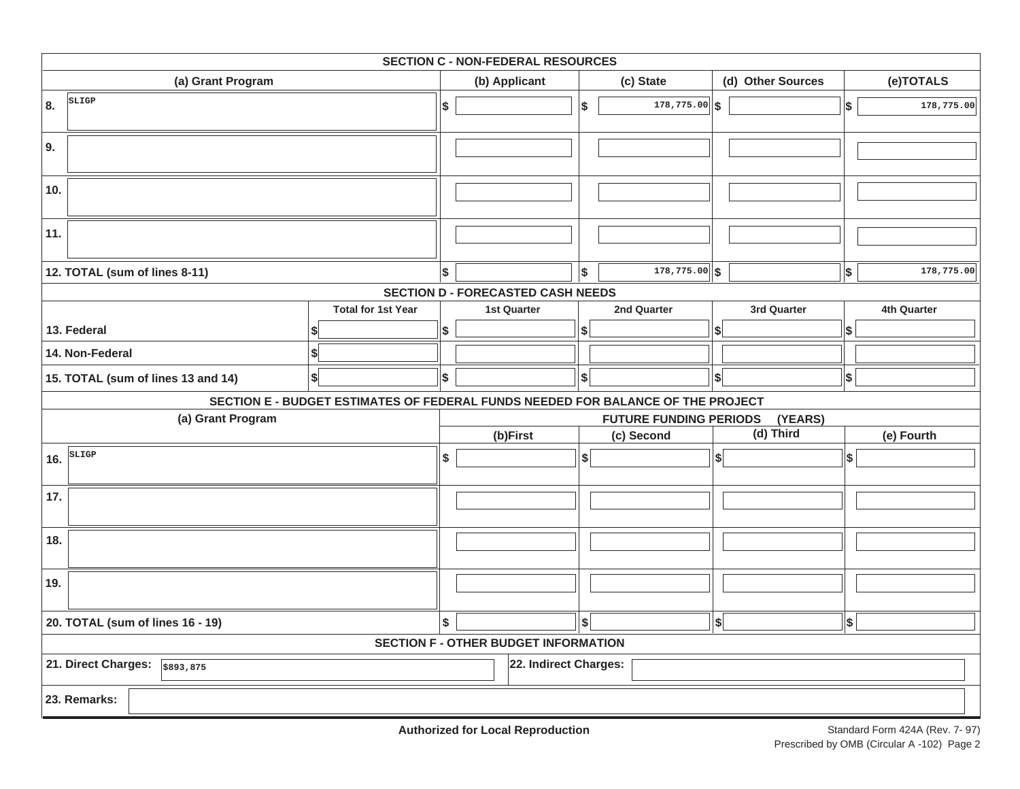|                                                       | <b>SECTION C - NON-FEDERAL RESOURCES</b>                                        |    |                                          |     |                               |                   |                           |             |
|-------------------------------------------------------|---------------------------------------------------------------------------------|----|------------------------------------------|-----|-------------------------------|-------------------|---------------------------|-------------|
| (a) Grant Program                                     |                                                                                 |    | (b) Applicant                            |     | (c) State                     | (d) Other Sources |                           | (e)TOTALS   |
| SLIGP<br>8.                                           |                                                                                 | \$ |                                          | \$  | $178,775.00$ \$               |                   | \$                        | 178,775.00  |
| 9.                                                    |                                                                                 |    |                                          |     |                               |                   |                           |             |
| 10.                                                   |                                                                                 |    |                                          |     |                               |                   |                           |             |
| 11.                                                   |                                                                                 |    |                                          |     |                               |                   |                           |             |
| 12. TOTAL (sum of lines 8-11)                         |                                                                                 | \$ |                                          | Ι\$ | $178,775.00$ \$               |                   | \$                        | 178,775.00  |
|                                                       |                                                                                 |    | <b>SECTION D - FORECASTED CASH NEEDS</b> |     |                               |                   |                           |             |
|                                                       | <b>Total for 1st Year</b>                                                       |    | <b>1st Quarter</b>                       |     | 2nd Quarter                   | 3rd Quarter       |                           | 4th Quarter |
| 13. Federal                                           |                                                                                 | \$ |                                          | \$  |                               | \$                | \$                        |             |
| 14. Non-Federal                                       |                                                                                 |    |                                          |     |                               |                   |                           |             |
| 15. TOTAL (sum of lines 13 and 14)                    | \$                                                                              | \$ |                                          | \$  |                               | $\boldsymbol{s}$  | $\boldsymbol{\mathsf{s}}$ |             |
|                                                       | SECTION E - BUDGET ESTIMATES OF FEDERAL FUNDS NEEDED FOR BALANCE OF THE PROJECT |    |                                          |     |                               |                   |                           |             |
| (a) Grant Program                                     |                                                                                 |    |                                          |     | <b>FUTURE FUNDING PERIODS</b> | (YEARS)           |                           |             |
|                                                       |                                                                                 |    | (b)First                                 |     | (c) Second                    | (d) Third         |                           | (e) Fourth  |
| SLIGP<br>16.                                          |                                                                                 | \$ |                                          | \$  |                               | $\left  \right $  | \$                        |             |
| 17.                                                   |                                                                                 |    |                                          |     |                               |                   |                           |             |
| 18.                                                   |                                                                                 |    |                                          |     |                               |                   |                           |             |
| 19.                                                   |                                                                                 |    |                                          |     |                               |                   |                           |             |
| 20. TOTAL (sum of lines 16 - 19)                      |                                                                                 | \$ |                                          | s   |                               | $\left  \right $  | \$                        |             |
| <b>SECTION F - OTHER BUDGET INFORMATION</b>           |                                                                                 |    |                                          |     |                               |                   |                           |             |
| 21. Direct Charges: 5893,875<br>22. Indirect Charges: |                                                                                 |    |                                          |     |                               |                   |                           |             |
| 23. Remarks:                                          |                                                                                 |    |                                          |     |                               |                   |                           |             |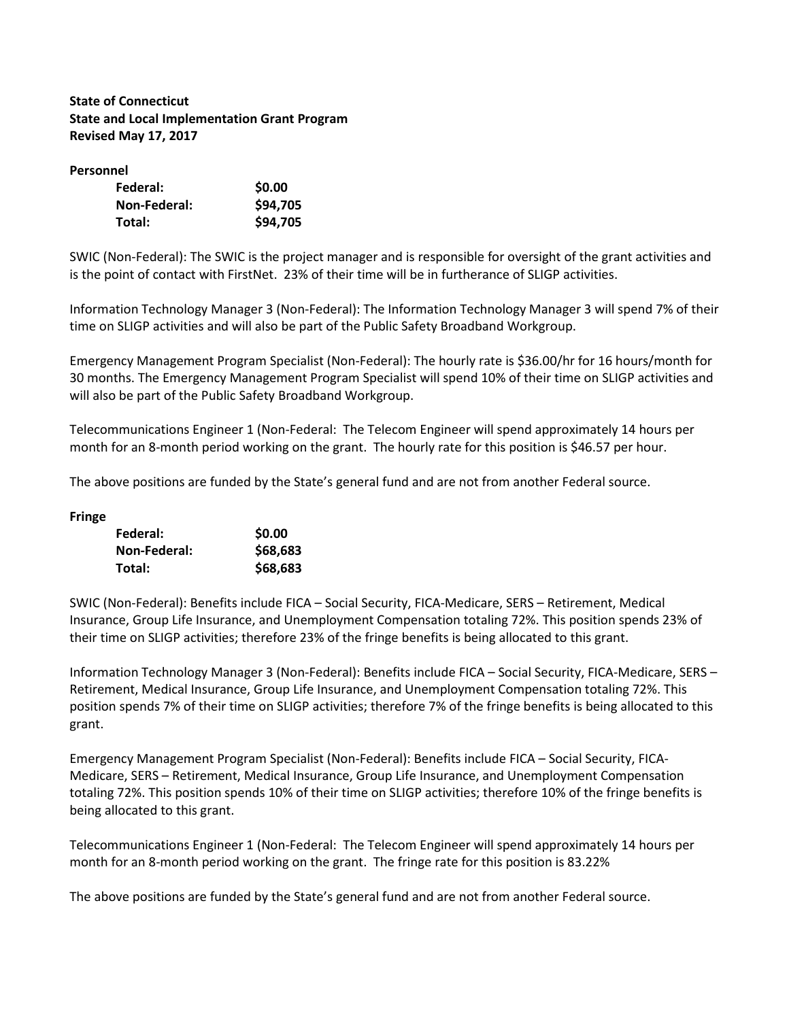### **State of Connecticut State and Local Implementation Grant Program Revised May 17, 2017**

**Personnel**

| Federal:     | \$0.00   |
|--------------|----------|
| Non-Federal: | \$94,705 |
| Total:       | \$94,705 |

SWIC (Non-Federal): The SWIC is the project manager and is responsible for oversight of the grant activities and is the point of contact with FirstNet. 23% of their time will be in furtherance of SLIGP activities.

Information Technology Manager 3 (Non-Federal): The Information Technology Manager 3 will spend 7% of their time on SLIGP activities and will also be part of the Public Safety Broadband Workgroup.

Emergency Management Program Specialist (Non-Federal): The hourly rate is \$36.00/hr for 16 hours/month for 30 months. The Emergency Management Program Specialist will spend 10% of their time on SLIGP activities and will also be part of the Public Safety Broadband Workgroup.

Telecommunications Engineer 1 (Non-Federal: The Telecom Engineer will spend approximately 14 hours per month for an 8-month period working on the grant. The hourly rate for this position is \$46.57 per hour.

The above positions are funded by the State's general fund and are not from another Federal source.

**Fringe**

| Federal:     | \$0.00   |
|--------------|----------|
| Non-Federal: | \$68,683 |
| Total:       | \$68,683 |

SWIC (Non-Federal): Benefits include FICA – Social Security, FICA-Medicare, SERS – Retirement, Medical Insurance, Group Life Insurance, and Unemployment Compensation totaling 72%. This position spends 23% of their time on SLIGP activities; therefore 23% of the fringe benefits is being allocated to this grant.

Information Technology Manager 3 (Non-Federal): Benefits include FICA – Social Security, FICA-Medicare, SERS – Retirement, Medical Insurance, Group Life Insurance, and Unemployment Compensation totaling 72%. This position spends 7% of their time on SLIGP activities; therefore 7% of the fringe benefits is being allocated to this grant.

Emergency Management Program Specialist (Non-Federal): Benefits include FICA – Social Security, FICA-Medicare, SERS – Retirement, Medical Insurance, Group Life Insurance, and Unemployment Compensation totaling 72%. This position spends 10% of their time on SLIGP activities; therefore 10% of the fringe benefits is being allocated to this grant.

Telecommunications Engineer 1 (Non-Federal: The Telecom Engineer will spend approximately 14 hours per month for an 8-month period working on the grant. The fringe rate for this position is 83.22%

The above positions are funded by the State's general fund and are not from another Federal source.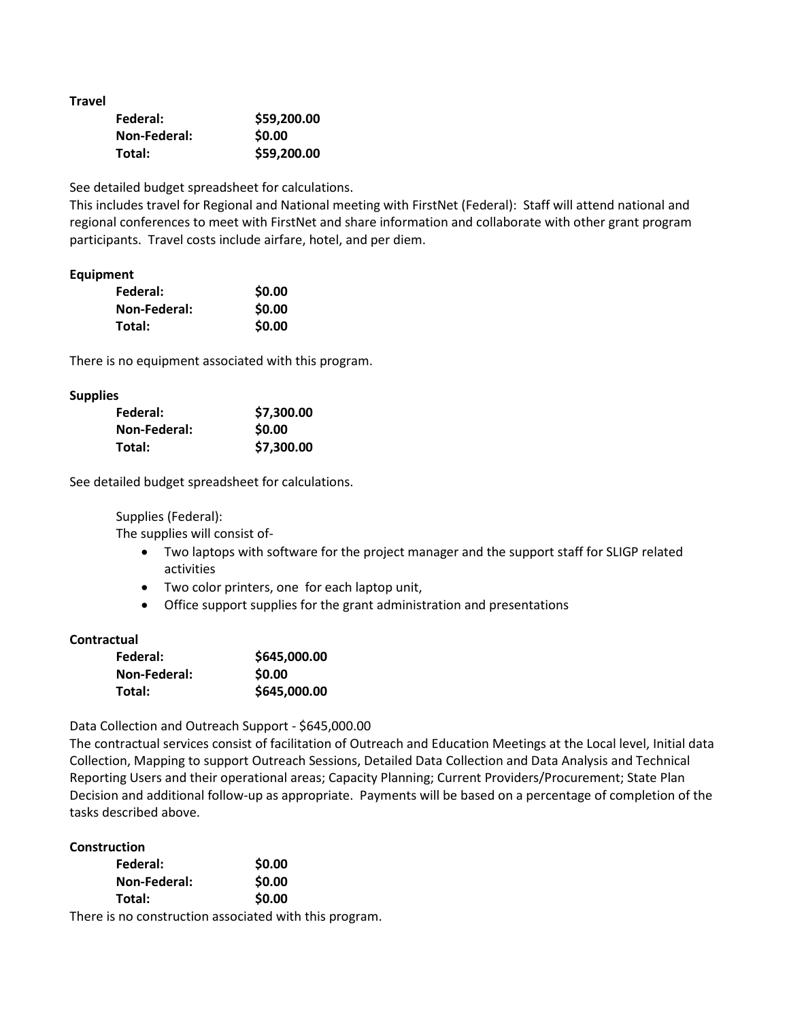**Travel**

| Federal:     | \$59,200.00 |
|--------------|-------------|
| Non-Federal: | \$0.00      |
| Total:       | \$59,200.00 |

See detailed budget spreadsheet for calculations.

This includes travel for Regional and National meeting with FirstNet (Federal): Staff will attend national and regional conferences to meet with FirstNet and share information and collaborate with other grant program participants. Travel costs include airfare, hotel, and per diem.

#### **Equipment**

| Federal:     | \$0.00 |
|--------------|--------|
| Non-Federal: | \$0.00 |
| Total:       | \$0.00 |

There is no equipment associated with this program.

#### **Supplies**

| Federal:     | \$7,300.00 |
|--------------|------------|
| Non-Federal: | \$0.00     |
| Total:       | \$7,300.00 |

See detailed budget spreadsheet for calculations.

Supplies (Federal):

The supplies will consist of-

- Two laptops with software for the project manager and the support staff for SLIGP related activities
- Two color printers, one for each laptop unit,
- Office support supplies for the grant administration and presentations

#### **Contractual**

| Federal:     | \$645,000.00 |
|--------------|--------------|
| Non-Federal: | \$0.00       |
| Total:       | \$645,000.00 |

Data Collection and Outreach Support - \$645,000.00

The contractual services consist of facilitation of Outreach and Education Meetings at the Local level, Initial data Collection, Mapping to support Outreach Sessions, Detailed Data Collection and Data Analysis and Technical Reporting Users and their operational areas; Capacity Planning; Current Providers/Procurement; State Plan Decision and additional follow-up as appropriate. Payments will be based on a percentage of completion of the tasks described above.

#### **Construction**

| Federal:                                               | \$0.00 |
|--------------------------------------------------------|--------|
| Non-Federal:                                           | \$0.00 |
| Total:                                                 | \$0.00 |
| There is no construction associated with this program. |        |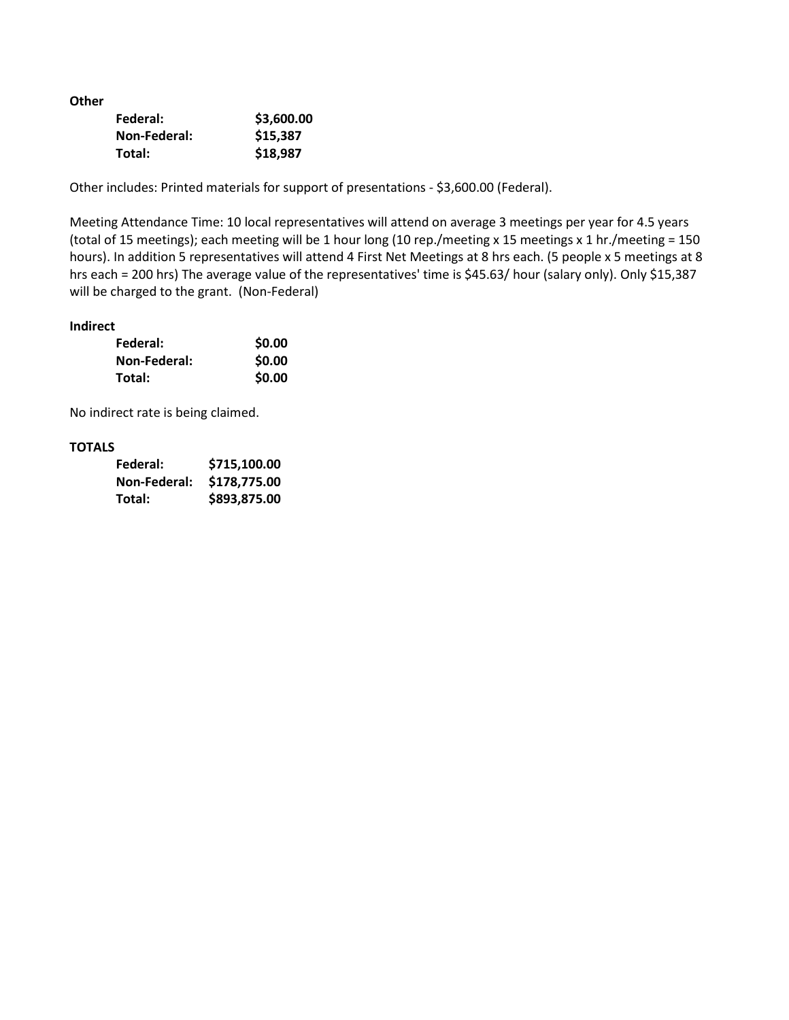**Other**

| Federal:     | \$3,600.00 |
|--------------|------------|
| Non-Federal: | \$15,387   |
| Total:       | \$18,987   |

Other includes: Printed materials for support of presentations - \$3,600.00 (Federal).

Meeting Attendance Time: 10 local representatives will attend on average 3 meetings per year for 4.5 years (total of 15 meetings); each meeting will be 1 hour long (10 rep./meeting x 15 meetings x 1 hr./meeting = 150 hours). In addition 5 representatives will attend 4 First Net Meetings at 8 hrs each. (5 people x 5 meetings at 8 hrs each = 200 hrs) The average value of the representatives' time is \$45.63/ hour (salary only). Only \$15,387 will be charged to the grant. (Non-Federal)

#### **Indirect**

| Federal:     | \$0.00 |
|--------------|--------|
| Non-Federal: | \$0.00 |
| Total:       | \$0.00 |

No indirect rate is being claimed.

#### **TOTALS**

| Federal:            | \$715,100.00 |
|---------------------|--------------|
| <b>Non-Federal:</b> | \$178,775.00 |
| Total:              | \$893,875.00 |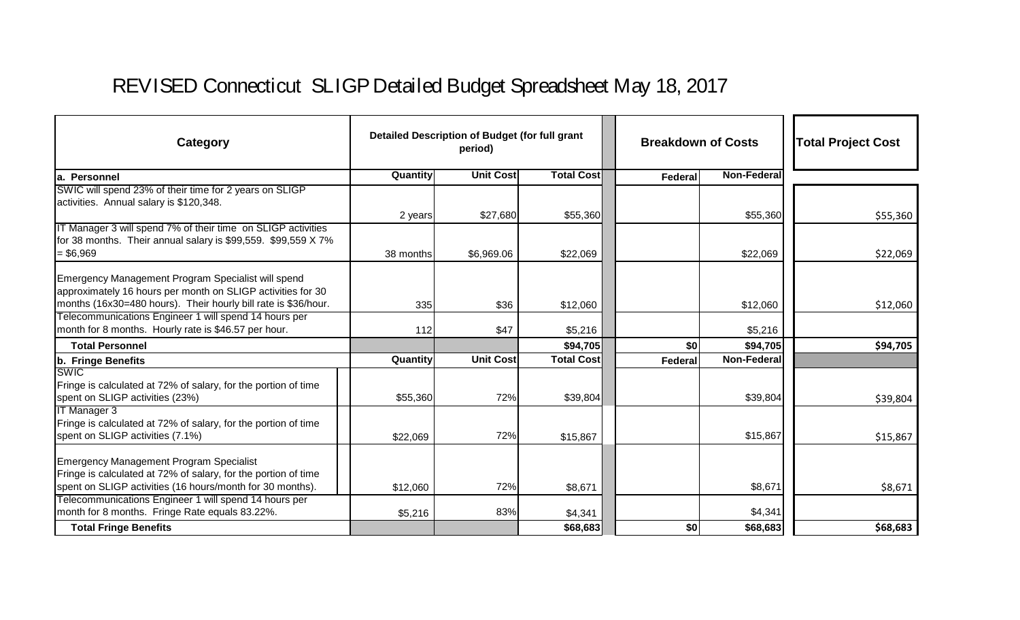# REVISED Connecticut SLIGP Detailed Budget Spreadsheet May 18, 2017

| Category                                                                                                                                                                            |           | Detailed Description of Budget (for full grant<br>period) |                   | <b>Breakdown of Costs</b> |                    | <b>Total Project Cost</b> |
|-------------------------------------------------------------------------------------------------------------------------------------------------------------------------------------|-----------|-----------------------------------------------------------|-------------------|---------------------------|--------------------|---------------------------|
| a. Personnel                                                                                                                                                                        | Quantity  | <b>Unit Cost</b>                                          | <b>Total Cost</b> | Federal                   | Non-Federal        |                           |
| SWIC will spend 23% of their time for 2 years on SLIGP<br>activities. Annual salary is \$120,348.                                                                                   | 2 years   | \$27,680                                                  | \$55,360          |                           | \$55,360           |                           |
| IT Manager 3 will spend 7% of their time on SLIGP activities<br>for 38 months. Their annual salary is \$99,559. \$99,559 X 7%                                                       |           |                                                           |                   |                           |                    | \$55,360                  |
| $= $6,969$                                                                                                                                                                          | 38 months | \$6,969.06                                                | \$22,069          |                           | \$22,069           | \$22,069                  |
| Emergency Management Program Specialist will spend<br>approximately 16 hours per month on SLIGP activities for 30<br>months (16x30=480 hours). Their hourly bill rate is \$36/hour. | 335       | \$36                                                      | \$12,060          |                           | \$12,060           | \$12,060                  |
| Telecommunications Engineer 1 will spend 14 hours per<br>month for 8 months. Hourly rate is \$46.57 per hour.                                                                       | 112       | \$47                                                      | \$5,216           |                           | \$5,216            |                           |
| <b>Total Personnel</b>                                                                                                                                                              |           |                                                           | \$94,705          | \$0                       | \$94,705           | \$94,705                  |
| b. Fringe Benefits                                                                                                                                                                  | Quantity  | <b>Unit Cost</b>                                          | <b>Total Cost</b> | <b>Federal</b>            | <b>Non-Federal</b> |                           |
| <b>SWIC</b><br>Fringe is calculated at 72% of salary, for the portion of time<br>spent on SLIGP activities (23%)                                                                    | \$55,360  | 72%                                                       | \$39,804          |                           | \$39,804           | \$39,804                  |
| <b>IT Manager 3</b><br>Fringe is calculated at 72% of salary, for the portion of time<br>spent on SLIGP activities (7.1%)                                                           | \$22,069  | 72%                                                       | \$15,867          |                           | \$15,867           | \$15,867                  |
| <b>Emergency Management Program Specialist</b><br>Fringe is calculated at 72% of salary, for the portion of time<br>spent on SLIGP activities (16 hours/month for 30 months).       | \$12,060  | 72%                                                       | \$8,671           |                           | \$8,671            | \$8,671                   |
| Telecommunications Engineer 1 will spend 14 hours per<br>month for 8 months. Fringe Rate equals 83.22%.                                                                             | \$5,216   | 83%                                                       | \$4,341           |                           | \$4,341            |                           |
| <b>Total Fringe Benefits</b>                                                                                                                                                        |           |                                                           | \$68,683          | \$0                       | \$68,683           | \$68,683                  |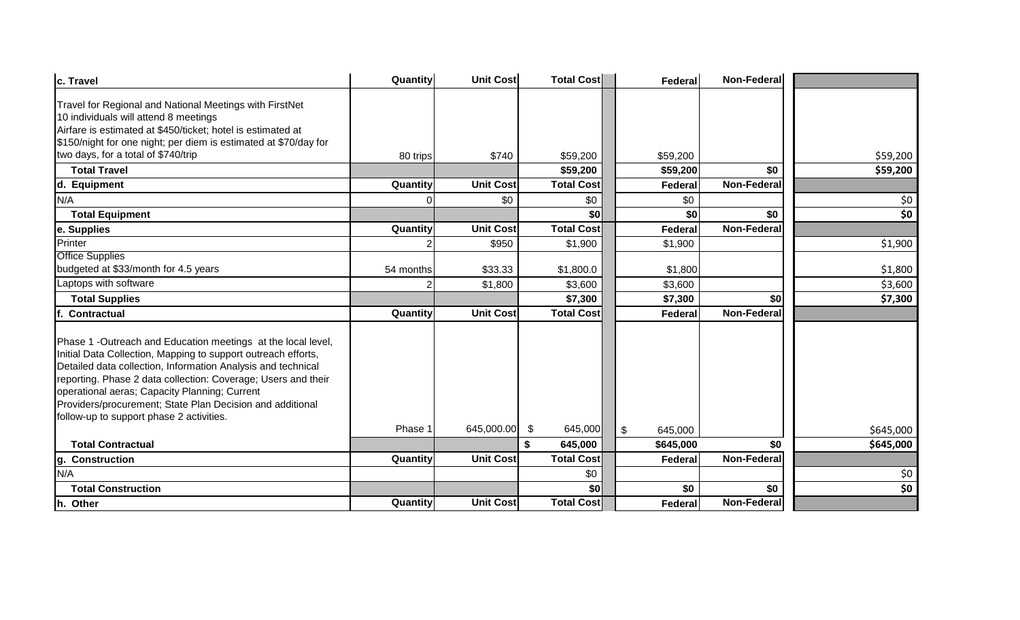| c. Travel                                                                                                                                                                                                                                                                                                                                                                                                                                            | Quantity        | <b>Unit Cost</b> | <b>Total Cost</b>              | <b>Federal</b>                                    | <b>Non-Federal</b> |                                   |
|------------------------------------------------------------------------------------------------------------------------------------------------------------------------------------------------------------------------------------------------------------------------------------------------------------------------------------------------------------------------------------------------------------------------------------------------------|-----------------|------------------|--------------------------------|---------------------------------------------------|--------------------|-----------------------------------|
| Travel for Regional and National Meetings with FirstNet<br>10 individuals will attend 8 meetings<br>Airfare is estimated at \$450/ticket; hotel is estimated at<br>\$150/night for one night; per diem is estimated at \$70/day for                                                                                                                                                                                                                  |                 |                  |                                |                                                   |                    |                                   |
| two days, for a total of \$740/trip                                                                                                                                                                                                                                                                                                                                                                                                                  | 80 trips        | \$740            | \$59,200                       | \$59,200                                          |                    | \$59,200                          |
| <b>Total Travel</b>                                                                                                                                                                                                                                                                                                                                                                                                                                  |                 |                  | \$59,200                       | \$59,200                                          | \$0                | \$59,200                          |
| d. Equipment                                                                                                                                                                                                                                                                                                                                                                                                                                         | Quantity        | <b>Unit Cost</b> | <b>Total Cost</b>              | Federal                                           | <b>Non-Federal</b> |                                   |
| N/A                                                                                                                                                                                                                                                                                                                                                                                                                                                  | 0               | \$0              | \$0                            | \$0                                               |                    | \$0                               |
| <b>Total Equipment</b>                                                                                                                                                                                                                                                                                                                                                                                                                               |                 |                  | \$0                            | \$0                                               | \$0                | \$0                               |
| e. Supplies                                                                                                                                                                                                                                                                                                                                                                                                                                          | Quantity        | <b>Unit Cost</b> | <b>Total Cost</b>              | <b>Federal</b>                                    | <b>Non-Federal</b> |                                   |
| Printer                                                                                                                                                                                                                                                                                                                                                                                                                                              |                 | \$950            | \$1,900                        | \$1,900                                           |                    | \$1,900                           |
| <b>Office Supplies</b><br>budgeted at \$33/month for 4.5 years                                                                                                                                                                                                                                                                                                                                                                                       | 54 months       | \$33.33          | \$1,800.0                      | \$1,800                                           |                    | \$1,800                           |
| Laptops with software                                                                                                                                                                                                                                                                                                                                                                                                                                | 2               | \$1,800          | \$3,600                        | \$3,600                                           |                    | \$3,600                           |
| <b>Total Supplies</b>                                                                                                                                                                                                                                                                                                                                                                                                                                |                 |                  | \$7,300                        | \$7,300                                           | \$0                | \$7,300                           |
| <b>Contractual</b>                                                                                                                                                                                                                                                                                                                                                                                                                                   | Quantity        | <b>Unit Cost</b> | <b>Total Cost</b>              | <b>Federal</b>                                    | <b>Non-Federal</b> |                                   |
| Phase 1 -Outreach and Education meetings at the local level,<br>Initial Data Collection, Mapping to support outreach efforts,<br>Detailed data collection, Information Analysis and technical<br>reporting. Phase 2 data collection: Coverage; Users and their<br>operational aeras; Capacity Planning; Current<br>Providers/procurement; State Plan Decision and additional<br>follow-up to support phase 2 activities.<br><b>Total Contractual</b> | Phase 1         | 645,000.00       | \$<br>645,000<br>\$<br>645,000 | $\boldsymbol{\mathsf{S}}$<br>645,000<br>\$645,000 | \$0                | \$645,000<br>\$645,000            |
|                                                                                                                                                                                                                                                                                                                                                                                                                                                      | Quantity        | <b>Unit Cost</b> | <b>Total Cost</b>              |                                                   | Non-Federal        |                                   |
| <b>Construction</b><br>g.                                                                                                                                                                                                                                                                                                                                                                                                                            |                 |                  |                                | Federal                                           |                    |                                   |
| N/A                                                                                                                                                                                                                                                                                                                                                                                                                                                  |                 |                  | \$0                            |                                                   |                    | \$0                               |
| <b>Total Construction</b>                                                                                                                                                                                                                                                                                                                                                                                                                            |                 |                  | \$0                            | \$0                                               | \$0                | $\overline{\boldsymbol{\zeta_0}}$ |
| h. Other                                                                                                                                                                                                                                                                                                                                                                                                                                             | <b>Quantity</b> | <b>Unit Cost</b> | <b>Total Cost</b>              | Federal                                           | <b>Non-Federal</b> |                                   |